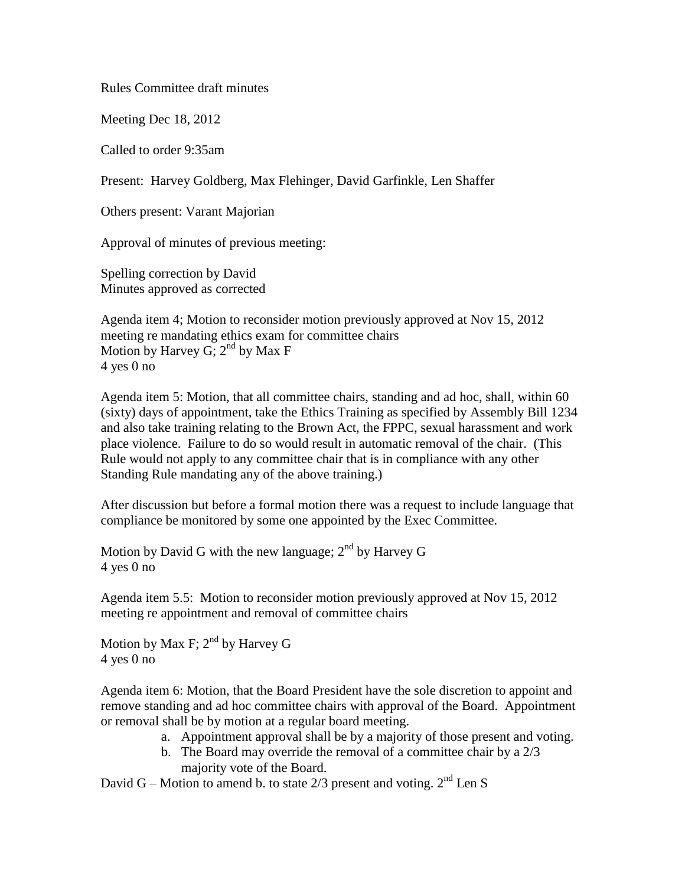Rules Committee draft minutes

Meeting Dec 18, 2012

Called to order 9:35am

Present: Harvey Goldberg, Max Flehinger, David Garfinkle, Len Shaffer

Others present: Varant Majorian

Approval of minutes of previous meeting:

Spelling correction by David Minutes approved as corrected

Agenda item 4; Motion to reconsider motion previously approved at Nov 15, 2012 meeting re mandating ethics exam for committee chairs Motion by Harvey G;  $2^{nd}$  by Max F 4 yes 0 no

Agenda item 5: Motion, that all committee chairs, standing and ad hoc, shall, within 60 (sixty) days of appointment, take the Ethics Training as specified by [Assembly Bill 1234](http://www.fppc.ca.gov/index.php?id=477) and also take training relating to the Brown Act, the FPPC, sexual harassment and work place violence. Failure to do so would result in automatic removal of the chair. (This Rule would not apply to any committee chair that is in compliance with any other Standing Rule mandating any of the above training.)

After discussion but before a formal motion there was a request to include language that compliance be monitored by some one appointed by the Exec Committee.

Motion by David G with the new language;  $2<sup>nd</sup>$  by Harvey G 4 yes 0 no

Agenda item 5.5: Motion to reconsider motion previously approved at Nov 15, 2012 meeting re appointment and removal of committee chairs

Motion by Max F;  $2<sup>nd</sup>$  by Harvey G 4 yes 0 no

Agenda item 6: Motion, that the Board President have the sole discretion to appoint and remove standing and ad hoc committee chairs with approval of the Board. Appointment or removal shall be by motion at a regular board meeting.

- a. Appointment approval shall be by a majority of those present and voting.
- b. The Board may override the removal of a committee chair by a 2/3 majority vote of the Board.

David G – Motion to amend b. to state  $2/3$  present and voting.  $2<sup>nd</sup>$  Len S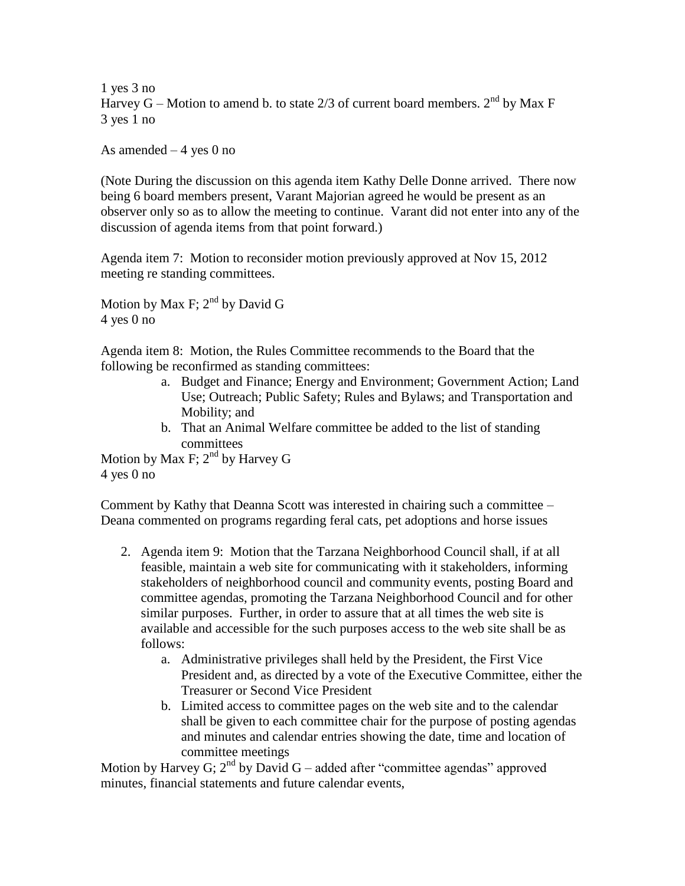1 yes 3 no Harvey G – Motion to amend b. to state  $2/3$  of current board members.  $2<sup>nd</sup>$  by Max F 3 yes 1 no

As amended  $-4$  yes 0 no

(Note During the discussion on this agenda item Kathy Delle Donne arrived. There now being 6 board members present, Varant Majorian agreed he would be present as an observer only so as to allow the meeting to continue. Varant did not enter into any of the discussion of agenda items from that point forward.)

Agenda item 7: Motion to reconsider motion previously approved at Nov 15, 2012 meeting re standing committees.

Motion by Max F;  $2^{nd}$  by David G 4 yes 0 no

Agenda item 8: Motion, the Rules Committee recommends to the Board that the following be reconfirmed as standing committees:

- a. Budget and Finance; Energy and Environment; Government Action; Land Use; Outreach; Public Safety; Rules and Bylaws; and Transportation and Mobility; and
- b. That an Animal Welfare committee be added to the list of standing committees

Motion by Max F;  $2^{nd}$  by Harvey G 4 yes 0 no

Comment by Kathy that Deanna Scott was interested in chairing such a committee – Deana commented on programs regarding feral cats, pet adoptions and horse issues

- 2. Agenda item 9: Motion that the Tarzana Neighborhood Council shall, if at all feasible, maintain a web site for communicating with it stakeholders, informing stakeholders of neighborhood council and community events, posting Board and committee agendas, promoting the Tarzana Neighborhood Council and for other similar purposes. Further, in order to assure that at all times the web site is available and accessible for the such purposes access to the web site shall be as follows:
	- a. Administrative privileges shall held by the President, the First Vice President and, as directed by a vote of the Executive Committee, either the Treasurer or Second Vice President
	- b. Limited access to committee pages on the web site and to the calendar shall be given to each committee chair for the purpose of posting agendas and minutes and calendar entries showing the date, time and location of committee meetings

Motion by Harvey G;  $2<sup>nd</sup>$  by David G – added after "committee agendas" approved minutes, financial statements and future calendar events,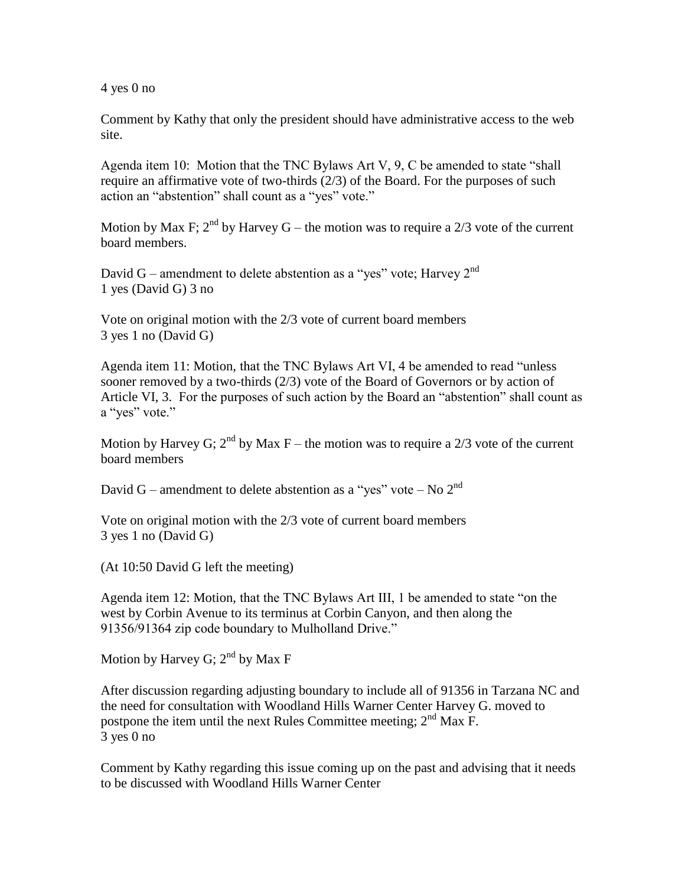4 yes 0 no

Comment by Kathy that only the president should have administrative access to the web site.

Agenda item 10: Motion that the TNC Bylaws Art V, 9, C be amended to state "shall require an affirmative vote of two-thirds (2/3) of the Board. For the purposes of such action an "abstention" shall count as a "yes" vote."

Motion by Max F;  $2^{nd}$  by Harvey G – the motion was to require a 2/3 vote of the current board members.

David G – amendment to delete abstention as a "yes" vote; Harvey  $2<sup>nd</sup>$ 1 yes (David G) 3 no

Vote on original motion with the 2/3 vote of current board members 3 yes 1 no (David G)

Agenda item 11: Motion, that the TNC Bylaws Art VI, 4 be amended to read "unless sooner removed by a two-thirds (2/3) vote of the Board of Governors or by action of Article VI, 3. For the purposes of such action by the Board an "abstention" shall count as a "yes" vote."

Motion by Harvey G;  $2^{nd}$  by Max F – the motion was to require a 2/3 vote of the current board members

David G – amendment to delete abstention as a "yes" vote – No  $2<sup>nd</sup>$ 

Vote on original motion with the 2/3 vote of current board members 3 yes 1 no (David G)

(At 10:50 David G left the meeting)

Agenda item 12: Motion, that the TNC Bylaws Art III, 1 be amended to state "on the west by Corbin Avenue to its terminus at Corbin Canyon, and then along the 91356/91364 zip code boundary to Mulholland Drive."

Motion by Harvey G;  $2^{nd}$  by Max F

After discussion regarding adjusting boundary to include all of 91356 in Tarzana NC and the need for consultation with Woodland Hills Warner Center Harvey G. moved to postpone the item until the next Rules Committee meeting;  $2<sup>nd</sup>$  Max F. 3 yes 0 no

Comment by Kathy regarding this issue coming up on the past and advising that it needs to be discussed with Woodland Hills Warner Center